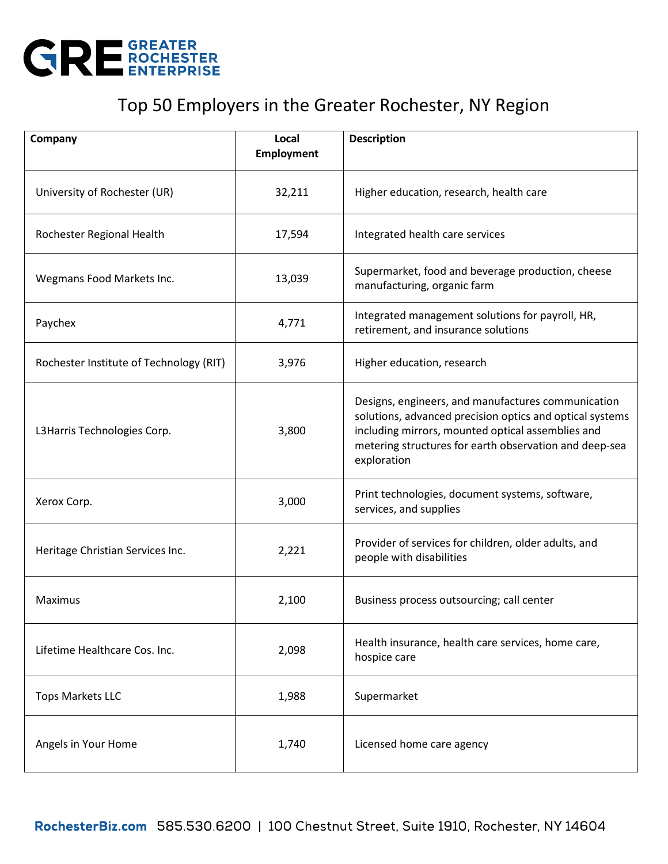

## Top 50 Employers in the Greater Rochester, NY Region

| Company                                 | Local<br><b>Employment</b> | <b>Description</b>                                                                                                                                                                                                                           |
|-----------------------------------------|----------------------------|----------------------------------------------------------------------------------------------------------------------------------------------------------------------------------------------------------------------------------------------|
| University of Rochester (UR)            | 32,211                     | Higher education, research, health care                                                                                                                                                                                                      |
| Rochester Regional Health               | 17,594                     | Integrated health care services                                                                                                                                                                                                              |
| Wegmans Food Markets Inc.               | 13,039                     | Supermarket, food and beverage production, cheese<br>manufacturing, organic farm                                                                                                                                                             |
| Paychex                                 | 4,771                      | Integrated management solutions for payroll, HR,<br>retirement, and insurance solutions                                                                                                                                                      |
| Rochester Institute of Technology (RIT) | 3,976                      | Higher education, research                                                                                                                                                                                                                   |
| L3Harris Technologies Corp.             | 3,800                      | Designs, engineers, and manufactures communication<br>solutions, advanced precision optics and optical systems<br>including mirrors, mounted optical assemblies and<br>metering structures for earth observation and deep-sea<br>exploration |
| Xerox Corp.                             | 3,000                      | Print technologies, document systems, software,<br>services, and supplies                                                                                                                                                                    |
| Heritage Christian Services Inc.        | 2,221                      | Provider of services for children, older adults, and<br>people with disabilities                                                                                                                                                             |
| Maximus                                 | 2,100                      | Business process outsourcing; call center                                                                                                                                                                                                    |
| Lifetime Healthcare Cos. Inc.           | 2,098                      | Health insurance, health care services, home care,<br>hospice care                                                                                                                                                                           |
| <b>Tops Markets LLC</b>                 | 1,988                      | Supermarket                                                                                                                                                                                                                                  |
| Angels in Your Home                     | 1,740                      | Licensed home care agency                                                                                                                                                                                                                    |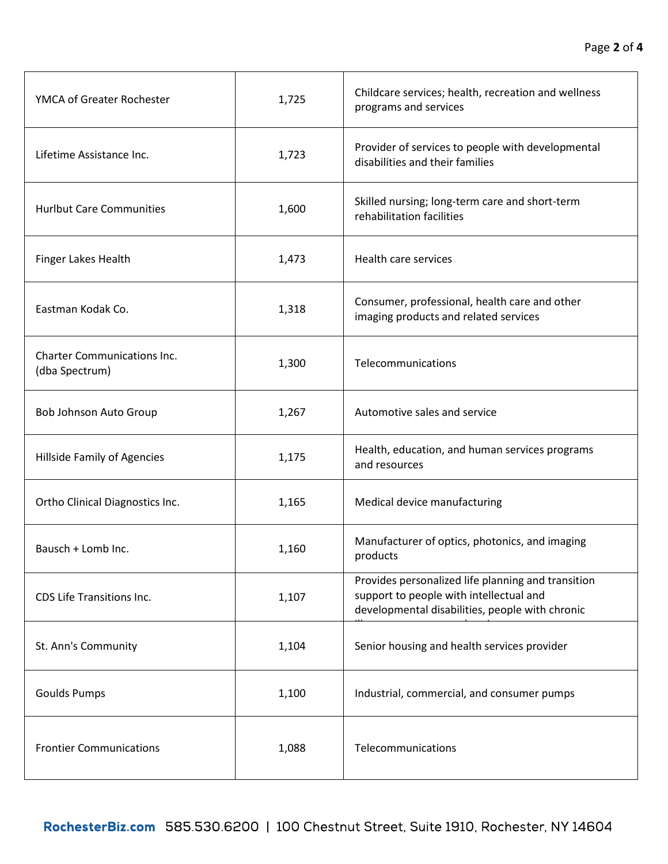| YMCA of Greater Rochester                            | 1,725 | Childcare services; health, recreation and wellness<br>programs and services                                                                     |
|------------------------------------------------------|-------|--------------------------------------------------------------------------------------------------------------------------------------------------|
| Lifetime Assistance Inc.                             | 1,723 | Provider of services to people with developmental<br>disabilities and their families                                                             |
| <b>Hurlbut Care Communities</b>                      | 1,600 | Skilled nursing; long-term care and short-term<br>rehabilitation facilities                                                                      |
| Finger Lakes Health                                  | 1,473 | Health care services                                                                                                                             |
| Eastman Kodak Co.                                    | 1,318 | Consumer, professional, health care and other<br>imaging products and related services                                                           |
| <b>Charter Communications Inc.</b><br>(dba Spectrum) | 1,300 | Telecommunications                                                                                                                               |
| Bob Johnson Auto Group                               | 1,267 | Automotive sales and service                                                                                                                     |
| Hillside Family of Agencies                          | 1,175 | Health, education, and human services programs<br>and resources                                                                                  |
| Ortho Clinical Diagnostics Inc.                      | 1,165 | Medical device manufacturing                                                                                                                     |
| Bausch + Lomb Inc.                                   | 1,160 | Manufacturer of optics, photonics, and imaging<br>products                                                                                       |
| CDS Life Transitions Inc.                            | 1,107 | Provides personalized life planning and transition<br>support to people with intellectual and<br>developmental disabilities, people with chronic |
| St. Ann's Community                                  | 1,104 | Senior housing and health services provider                                                                                                      |
| <b>Goulds Pumps</b>                                  | 1,100 | Industrial, commercial, and consumer pumps                                                                                                       |
| <b>Frontier Communications</b>                       | 1,088 | Telecommunications                                                                                                                               |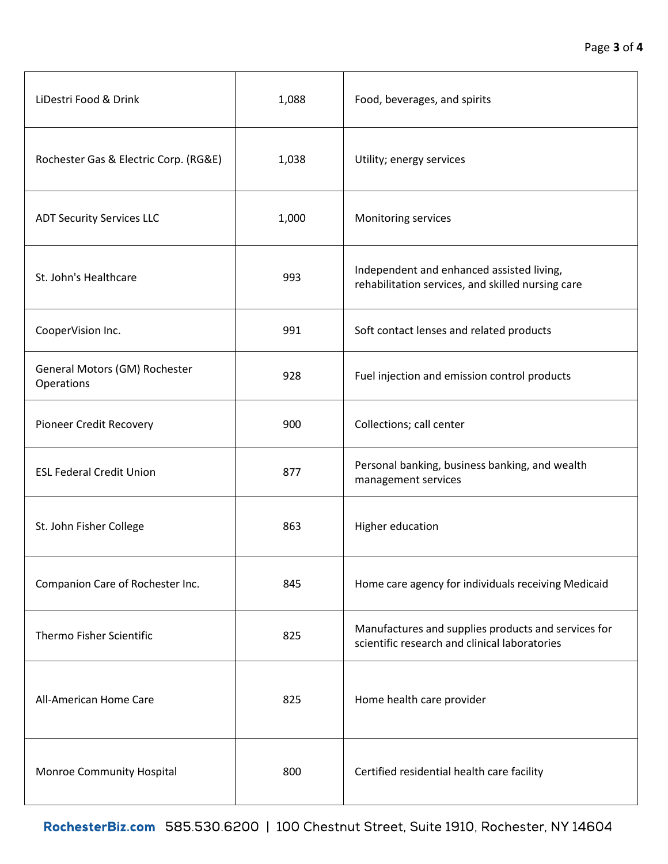| LiDestri Food & Drink                       | 1,088 | Food, beverages, and spirits                                                                         |
|---------------------------------------------|-------|------------------------------------------------------------------------------------------------------|
| Rochester Gas & Electric Corp. (RG&E)       | 1,038 | Utility; energy services                                                                             |
| <b>ADT Security Services LLC</b>            | 1,000 | Monitoring services                                                                                  |
| St. John's Healthcare                       | 993   | Independent and enhanced assisted living,<br>rehabilitation services, and skilled nursing care       |
| CooperVision Inc.                           | 991   | Soft contact lenses and related products                                                             |
| General Motors (GM) Rochester<br>Operations | 928   | Fuel injection and emission control products                                                         |
| Pioneer Credit Recovery                     | 900   | Collections; call center                                                                             |
| <b>ESL Federal Credit Union</b>             | 877   | Personal banking, business banking, and wealth<br>management services                                |
| St. John Fisher College                     | 863   | Higher education                                                                                     |
| Companion Care of Rochester Inc.            | 845   | Home care agency for individuals receiving Medicaid                                                  |
| <b>Thermo Fisher Scientific</b>             | 825   | Manufactures and supplies products and services for<br>scientific research and clinical laboratories |
| All-American Home Care                      | 825   | Home health care provider                                                                            |
| Monroe Community Hospital                   | 800   | Certified residential health care facility                                                           |